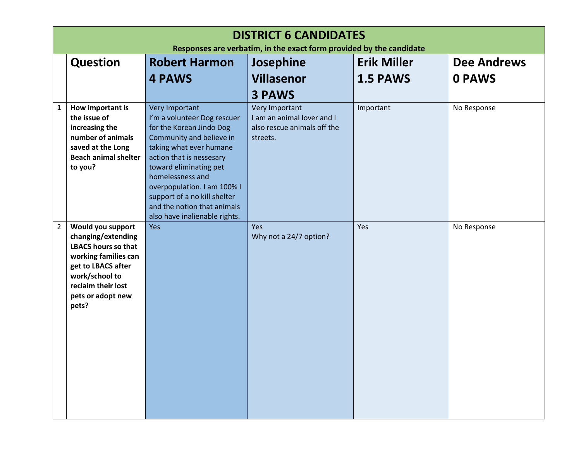| <b>DISTRICT 6 CANDIDATES</b><br>Responses are verbatim, in the exact form provided by the candidate |                                                                                                                                                                                           |                                                                                                                                                                                                                                                                                  |                                                                                         |                    |                    |
|-----------------------------------------------------------------------------------------------------|-------------------------------------------------------------------------------------------------------------------------------------------------------------------------------------------|----------------------------------------------------------------------------------------------------------------------------------------------------------------------------------------------------------------------------------------------------------------------------------|-----------------------------------------------------------------------------------------|--------------------|--------------------|
|                                                                                                     | <b>Question</b>                                                                                                                                                                           | <b>Robert Harmon</b>                                                                                                                                                                                                                                                             | Josephine                                                                               | <b>Erik Miller</b> | <b>Dee Andrews</b> |
|                                                                                                     |                                                                                                                                                                                           | <b>4 PAWS</b>                                                                                                                                                                                                                                                                    | <b>Villasenor</b>                                                                       | 1.5 PAWS           | <b>0 PAWS</b>      |
|                                                                                                     |                                                                                                                                                                                           |                                                                                                                                                                                                                                                                                  | <b>3 PAWS</b>                                                                           |                    |                    |
| 1                                                                                                   | How important is<br>the issue of<br>increasing the<br>number of animals<br>saved at the Long<br><b>Beach animal shelter</b><br>to you?                                                    | <b>Very Important</b><br>I'm a volunteer Dog rescuer<br>for the Korean Jindo Dog<br>Community and believe in<br>taking what ever humane<br>action that is nessesary<br>toward eliminating pet<br>homelessness and<br>overpopulation. I am 100% I<br>support of a no kill shelter | Very Important<br>I am an animal lover and I<br>also rescue animals off the<br>streets. | Important          | No Response        |
|                                                                                                     |                                                                                                                                                                                           | and the notion that animals                                                                                                                                                                                                                                                      |                                                                                         |                    |                    |
| $\overline{2}$                                                                                      | Would you support<br>changing/extending<br><b>LBACS hours so that</b><br>working families can<br>get to LBACS after<br>work/school to<br>reclaim their lost<br>pets or adopt new<br>pets? | also have inalienable rights.<br>Yes                                                                                                                                                                                                                                             | <b>Yes</b><br>Why not a 24/7 option?                                                    | Yes                | No Response        |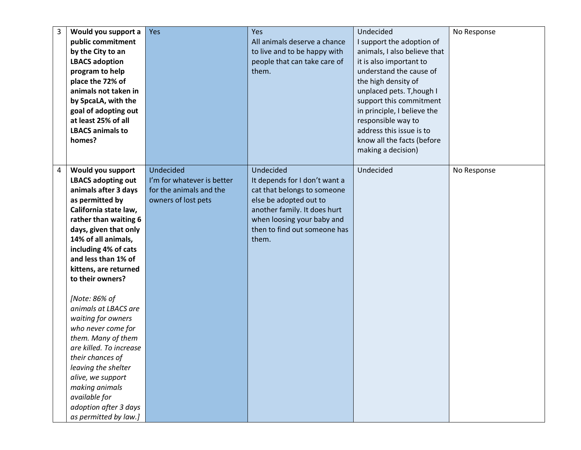| 3              | Would you support a       | Yes                        | <b>Yes</b>                    | Undecided                    | No Response |
|----------------|---------------------------|----------------------------|-------------------------------|------------------------------|-------------|
|                | public commitment         |                            | All animals deserve a chance  | I support the adoption of    |             |
|                | by the City to an         |                            | to live and to be happy with  | animals, I also believe that |             |
|                | <b>LBACS adoption</b>     |                            | people that can take care of  | it is also important to      |             |
|                | program to help           |                            | them.                         | understand the cause of      |             |
|                | place the 72% of          |                            |                               | the high density of          |             |
|                | animals not taken in      |                            |                               | unplaced pets. T, hough I    |             |
|                | by SpcaLA, with the       |                            |                               | support this commitment      |             |
|                | goal of adopting out      |                            |                               | in principle, I believe the  |             |
|                | at least 25% of all       |                            |                               | responsible way to           |             |
|                | <b>LBACS animals to</b>   |                            |                               | address this issue is to     |             |
|                | homes?                    |                            |                               | know all the facts (before   |             |
|                |                           |                            |                               | making a decision)           |             |
|                |                           |                            |                               |                              |             |
| $\overline{a}$ | Would you support         | Undecided                  | Undecided                     | Undecided                    | No Response |
|                | <b>LBACS adopting out</b> | I'm for whatever is better | It depends for I don't want a |                              |             |
|                | animals after 3 days      | for the animals and the    | cat that belongs to someone   |                              |             |
|                | as permitted by           | owners of lost pets        | else be adopted out to        |                              |             |
|                | California state law,     |                            | another family. It does hurt  |                              |             |
|                | rather than waiting 6     |                            | when loosing your baby and    |                              |             |
|                | days, given that only     |                            | then to find out someone has  |                              |             |
|                | 14% of all animals,       |                            | them.                         |                              |             |
|                | including 4% of cats      |                            |                               |                              |             |
|                | and less than 1% of       |                            |                               |                              |             |
|                | kittens, are returned     |                            |                               |                              |             |
|                | to their owners?          |                            |                               |                              |             |
|                |                           |                            |                               |                              |             |
|                | [Note: 86% of             |                            |                               |                              |             |
|                | animals at LBACS are      |                            |                               |                              |             |
|                | waiting for owners        |                            |                               |                              |             |
|                | who never come for        |                            |                               |                              |             |
|                | them. Many of them        |                            |                               |                              |             |
|                | are killed. To increase   |                            |                               |                              |             |
|                | their chances of          |                            |                               |                              |             |
|                | leaving the shelter       |                            |                               |                              |             |
|                | alive, we support         |                            |                               |                              |             |
|                | making animals            |                            |                               |                              |             |
|                | available for             |                            |                               |                              |             |
|                | adoption after 3 days     |                            |                               |                              |             |
|                | as permitted by law.]     |                            |                               |                              |             |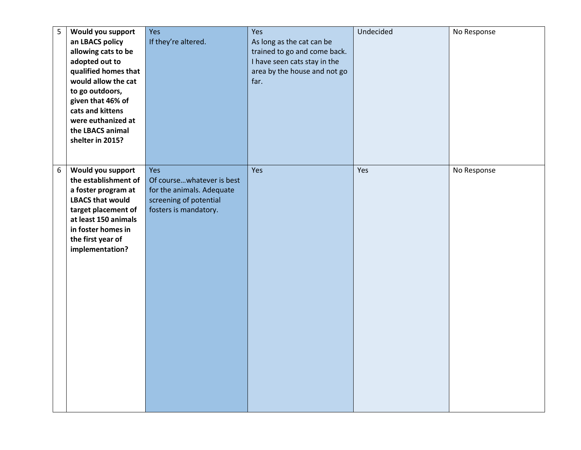| 5                | Would you support<br>an LBACS policy<br>allowing cats to be<br>adopted out to<br>qualified homes that<br>would allow the cat<br>to go outdoors,<br>given that 46% of<br>cats and kittens<br>were euthanized at<br>the LBACS animal<br>shelter in 2015? | Yes<br>If they're altered.                                                                                       | Yes<br>As long as the cat can be<br>trained to go and come back.<br>I have seen cats stay in the<br>area by the house and not go<br>far. | Undecided | No Response |
|------------------|--------------------------------------------------------------------------------------------------------------------------------------------------------------------------------------------------------------------------------------------------------|------------------------------------------------------------------------------------------------------------------|------------------------------------------------------------------------------------------------------------------------------------------|-----------|-------------|
| $\boldsymbol{6}$ | Would you support<br>the establishment of<br>a foster program at<br><b>LBACS that would</b><br>target placement of<br>at least 150 animals<br>in foster homes in<br>the first year of<br>implementation?                                               | Yes<br>Of coursewhatever is best<br>for the animals. Adequate<br>screening of potential<br>fosters is mandatory. | Yes                                                                                                                                      | Yes       | No Response |